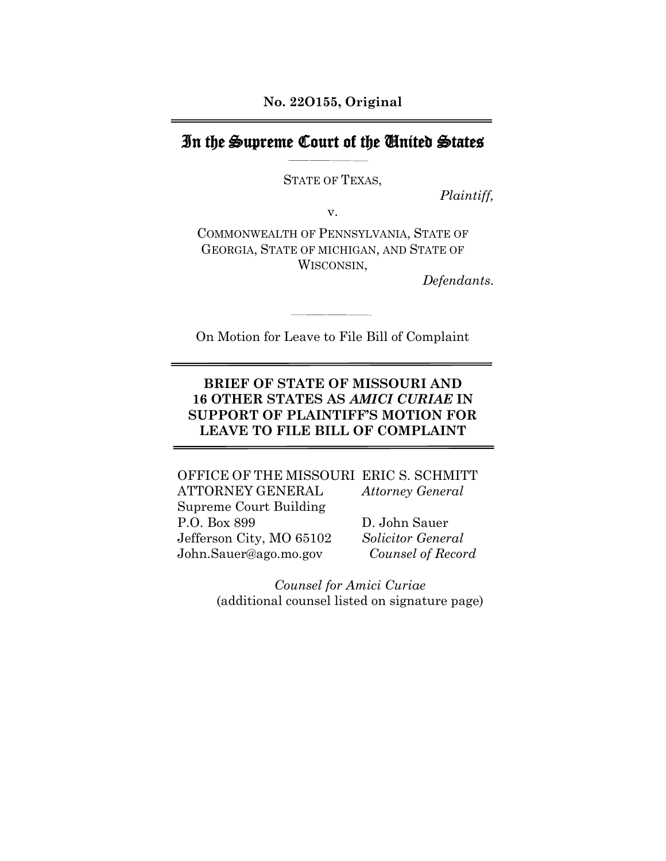## In the Supreme Court of the United States

STATE OF TEXAS,

*Plaintiff,*

v.

COMMONWEALTH OF PENNSYLVANIA, STATE OF GEORGIA, STATE OF MICHIGAN, AND STATE OF WISCONSIN,

*Defendants*.

On Motion for Leave to File Bill of Complaint

### **BRIEF OF STATE OF MISSOURI AND 16 OTHER STATES AS** *AMICI CURIAE* **IN SUPPORT OF PLAINTIFF'S MOTION FOR LEAVE TO FILE BILL OF COMPLAINT**

OFFICE OF THE MISSOURI ERIC S. SCHMITT ATTORNEY GENERAL *Attorney General* Supreme Court Building P.O. Box 899 D. John Sauer Jefferson City, MO 65102 *Solicitor General* John.Sauer@ago.mo.gov *Counsel of Record*

> *Counsel for Amici Curiae* (additional counsel listed on signature page)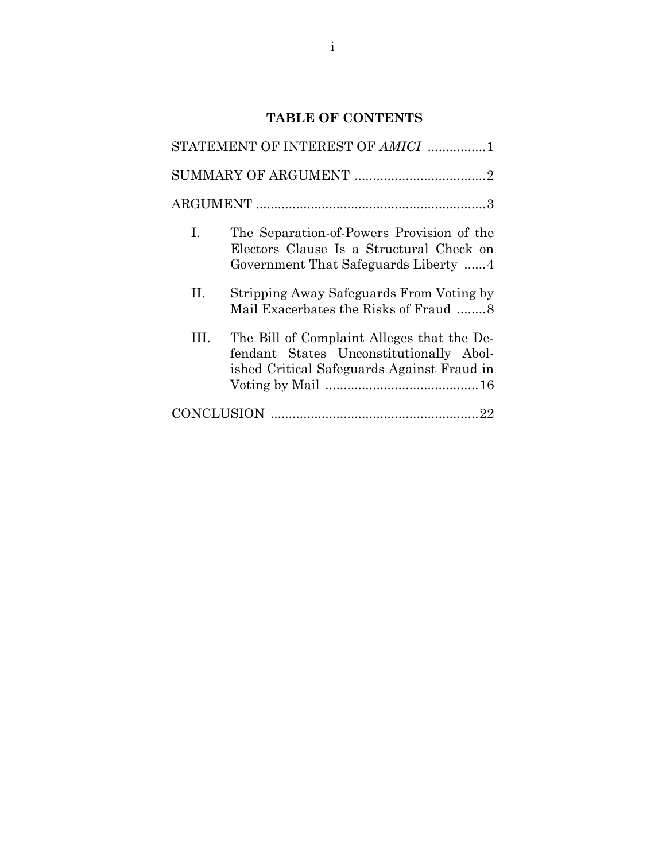# **TABLE OF CONTENTS**

| STATEMENT OF INTEREST OF AMICI 1 |                                                                                                                                     |  |
|----------------------------------|-------------------------------------------------------------------------------------------------------------------------------------|--|
|                                  |                                                                                                                                     |  |
|                                  |                                                                                                                                     |  |
| I.                               | The Separation-of-Powers Provision of the<br>Electors Clause Is a Structural Check on<br>Government That Safeguards Liberty 4       |  |
| H.                               | Stripping Away Safeguards From Voting by<br>Mail Exacerbates the Risks of Fraud 8                                                   |  |
| Ш                                | The Bill of Complaint Alleges that the De-<br>fendant States Unconstitutionally Abol-<br>ished Critical Safeguards Against Fraud in |  |
|                                  |                                                                                                                                     |  |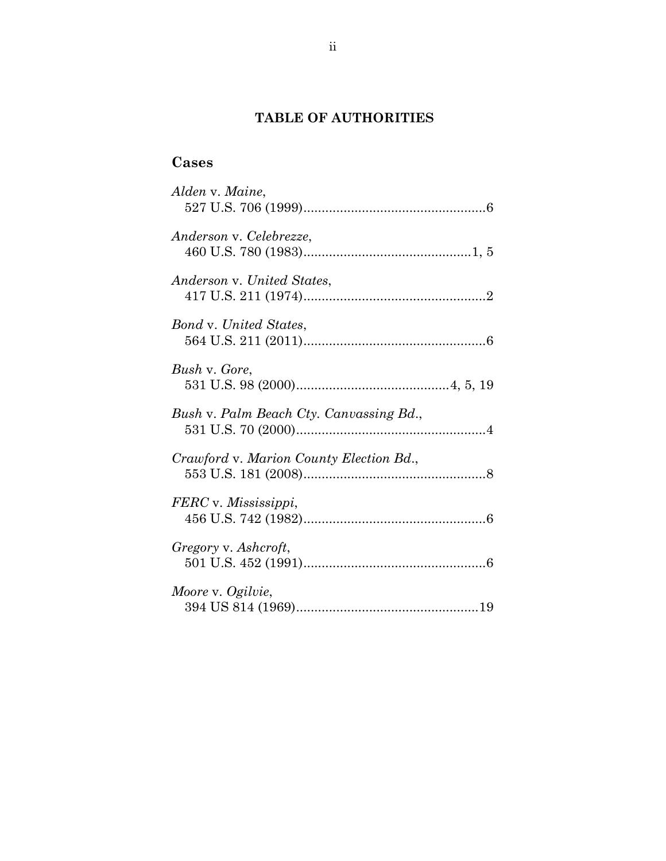# **TABLE OF AUTHORITIES**

# **Cases**

| Alden v. Maine,                         |
|-----------------------------------------|
| Anderson v. Celebrezze,                 |
| Anderson v. United States,              |
| <b>Bond v. United States,</b>           |
| Bush v. Gore,                           |
| Bush v. Palm Beach Cty. Canvassing Bd., |
| Crawford v. Marion County Election Bd., |
| FERC v. Mississippi,                    |
| Gregory v. Ashcroft,                    |
| Moore v. Ogilvie,                       |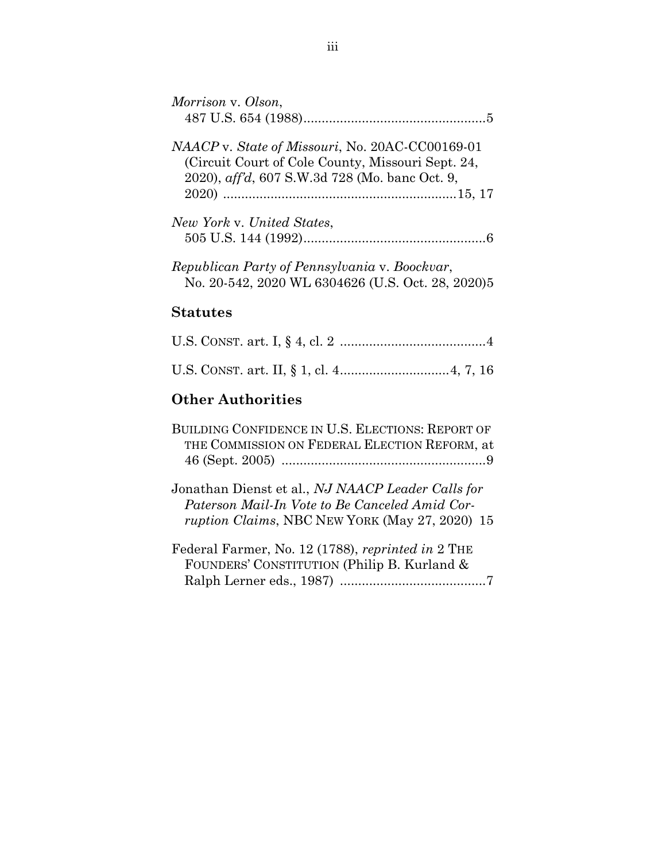| Morrison v. Olson,                                                                                                                                                    |
|-----------------------------------------------------------------------------------------------------------------------------------------------------------------------|
| <i>NAACP</i> v. State of Missouri, No. 20AC-CC00169-01<br>(Circuit Court of Cole County, Missouri Sept. 24,<br>2020), <i>aff'd</i> , 607 S.W.3d 728 (Mo. banc Oct. 9, |
| New York v. United States,                                                                                                                                            |
| Republican Party of Pennsylvania v. Boockvar,<br>No. 20-542, 2020 WL 6304626 (U.S. Oct. 28, 2020)5                                                                    |

## **Statutes**

# **Other Authorities**

| BUILDING CONFIDENCE IN U.S. ELECTIONS: REPORT OF                                                                                                             |
|--------------------------------------------------------------------------------------------------------------------------------------------------------------|
| THE COMMISSION ON FEDERAL ELECTION REFORM, at                                                                                                                |
|                                                                                                                                                              |
| Jonathan Dienst et al., NJ NAACP Leader Calls for<br>Paterson Mail-In Vote to Be Canceled Amid Cor-<br><i>ruption Claims, NBC NEW YORK (May 27, 2020)</i> 15 |
| Federal Farmer, No. 12 (1788), reprinted in 2 THE                                                                                                            |

| Federal Farmer, No. 12 (1788), reprinted in 2 THE |  |
|---------------------------------------------------|--|
| FOUNDERS' CONSTITUTION (Philip B. Kurland &       |  |
|                                                   |  |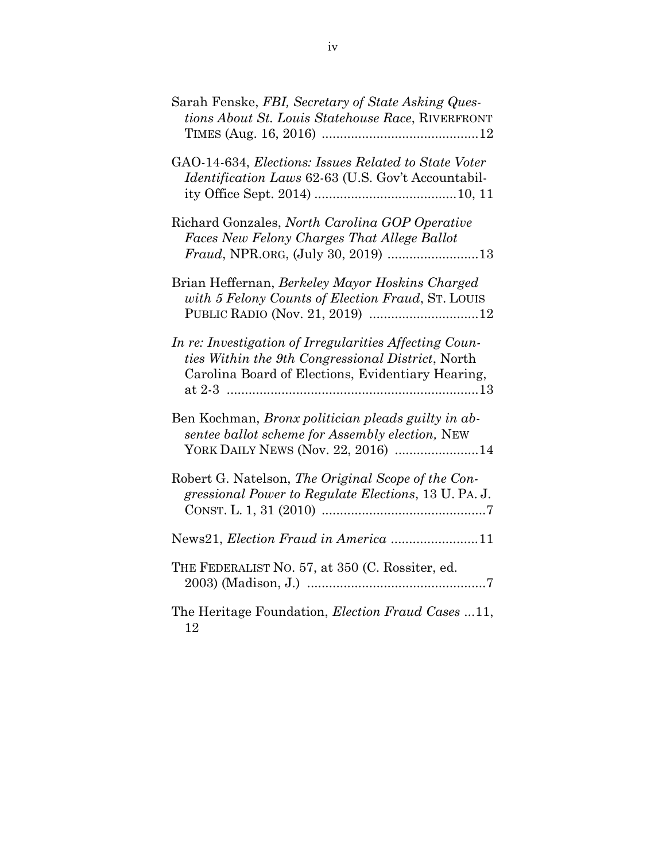| Sarah Fenske, FBI, Secretary of State Asking Ques-<br>tions About St. Louis Statehouse Race, RIVERFRONT                                                          |
|------------------------------------------------------------------------------------------------------------------------------------------------------------------|
| GAO-14-634, Elections: Issues Related to State Voter<br><i>Identification Laws</i> 62-63 (U.S. Gov't Accountabil-                                                |
| Richard Gonzales, North Carolina GOP Operative<br>Faces New Felony Charges That Allege Ballot                                                                    |
| Brian Heffernan, Berkeley Mayor Hoskins Charged<br>with 5 Felony Counts of Election Fraud, ST. LOUIS                                                             |
| In re: Investigation of Irregularities Affecting Coun-<br>ties Within the 9th Congressional District, North<br>Carolina Board of Elections, Evidentiary Hearing, |
| Ben Kochman, Bronx politician pleads guilty in ab-<br>sentee ballot scheme for Assembly election, NEW<br>YORK DAILY NEWS (Nov. 22, 2016) 14                      |
| Robert G. Natelson, The Original Scope of the Con-<br>gressional Power to Regulate Elections, 13 U. PA. J.                                                       |
| News21, Election Fraud in America 11                                                                                                                             |
| THE FEDERALIST NO. 57, at 350 (C. Rossiter, ed.                                                                                                                  |
| The Heritage Foundation, <i>Election Fraud Cases</i> 11,<br>12                                                                                                   |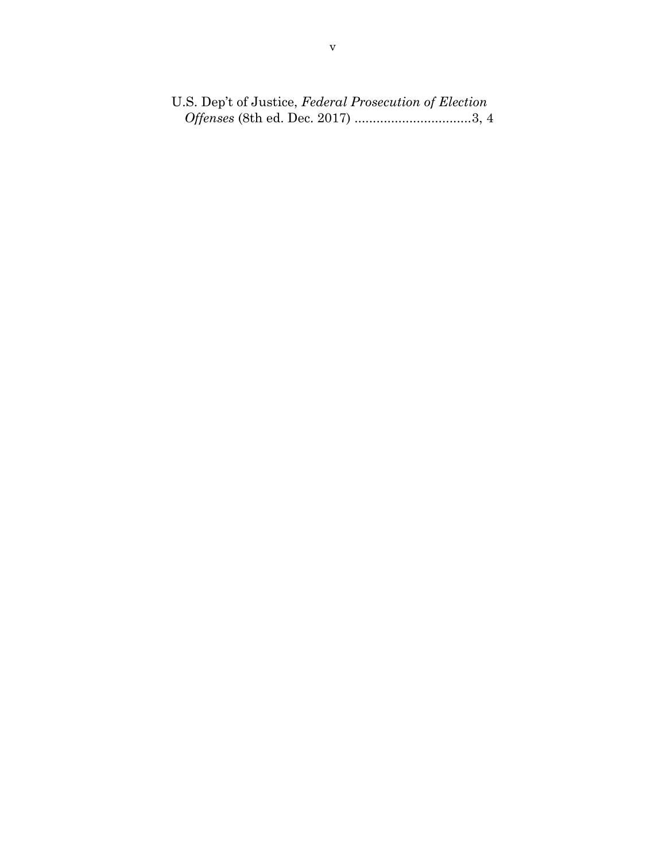U.S. Dep't of Justice, *Federal Prosecution of Election Offenses* (8th ed. Dec. 2017) ................................3, 4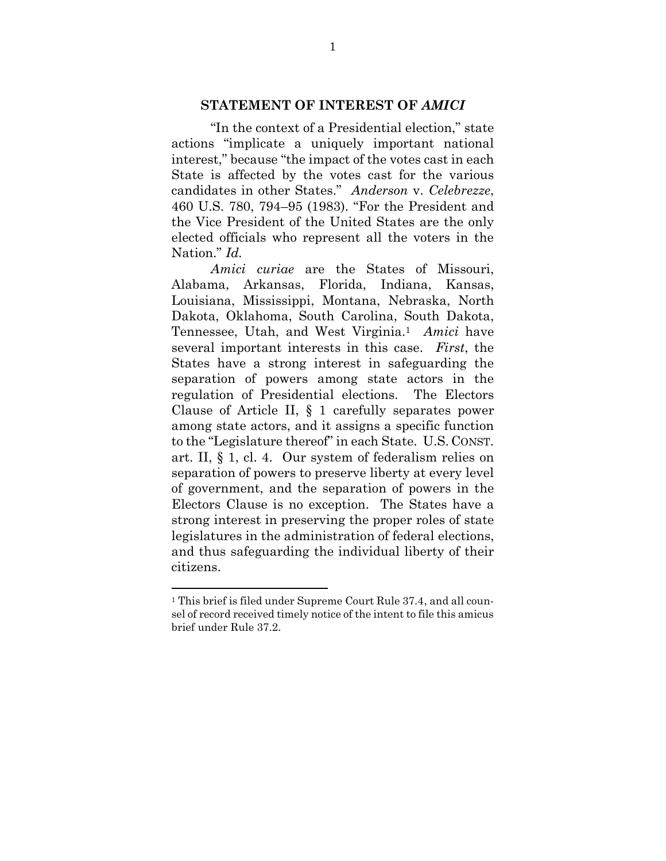#### **STATEMENT OF INTEREST OF** *AMICI*

"In the context of a Presidential election," state actions "implicate a uniquely important national interest," because "the impact of the votes cast in each State is affected by the votes cast for the various candidates in other States." *Anderson* v. *Celebrezze*, 460 U.S. 780, 794–95 (1983). "For the President and the Vice President of the United States are the only elected officials who represent all the voters in the Nation." *Id.*

*Amici curiae* are the States of Missouri, Alabama, Arkansas, Florida, Indiana, Kansas, Louisiana, Mississippi, Montana, Nebraska, North Dakota, Oklahoma, South Carolina, South Dakota, Tennessee, Utah, and West Virginia. <sup>1</sup> *Amici* have several important interests in this case. *First*, the States have a strong interest in safeguarding the separation of powers among state actors in the regulation of Presidential elections. The Electors Clause of Article II, § 1 carefully separates power among state actors, and it assigns a specific function to the "Legislature thereof" in each State. U.S. CONST. art. II, § 1, cl. 4. Our system of federalism relies on separation of powers to preserve liberty at every level of government, and the separation of powers in the Electors Clause is no exception. The States have a strong interest in preserving the proper roles of state legislatures in the administration of federal elections, and thus safeguarding the individual liberty of their citizens.

l

<sup>1</sup> This brief is filed under Supreme Court Rule 37.4, and all counsel of record received timely notice of the intent to file this amicus brief under Rule 37.2.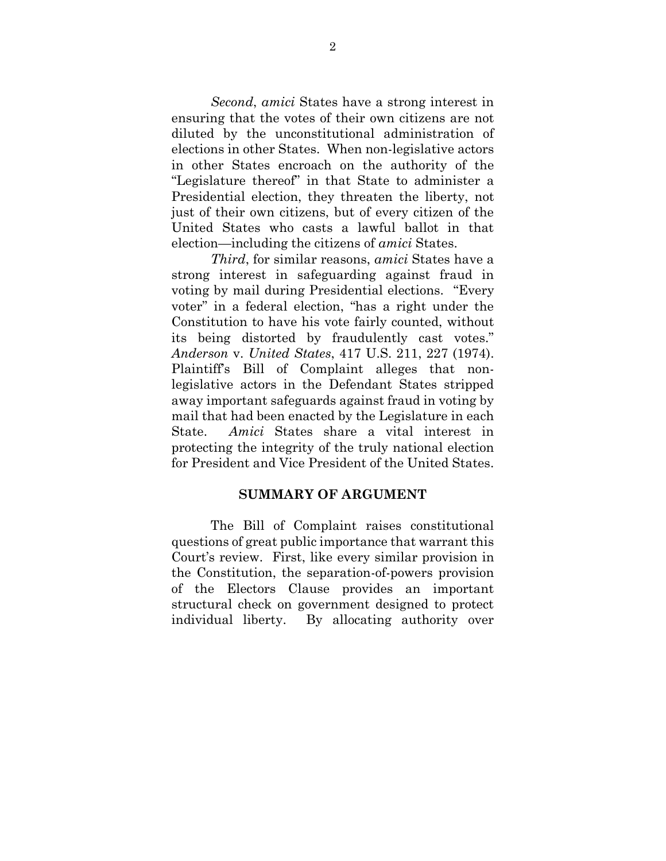*Second*, *amici* States have a strong interest in ensuring that the votes of their own citizens are not diluted by the unconstitutional administration of elections in other States. When non-legislative actors in other States encroach on the authority of the "Legislature thereof" in that State to administer a Presidential election, they threaten the liberty, not just of their own citizens, but of every citizen of the United States who casts a lawful ballot in that election—including the citizens of *amici* States.

*Third*, for similar reasons, *amici* States have a strong interest in safeguarding against fraud in voting by mail during Presidential elections. "Every voter" in a federal election, "has a right under the Constitution to have his vote fairly counted, without its being distorted by fraudulently cast votes." *Anderson* v. *United States*, 417 U.S. 211, 227 (1974). Plaintiff's Bill of Complaint alleges that nonlegislative actors in the Defendant States stripped away important safeguards against fraud in voting by mail that had been enacted by the Legislature in each State. *Amici* States share a vital interest in protecting the integrity of the truly national election for President and Vice President of the United States.

#### **SUMMARY OF ARGUMENT**

The Bill of Complaint raises constitutional questions of great public importance that warrant this Court's review. First, like every similar provision in the Constitution, the separation-of-powers provision of the Electors Clause provides an important structural check on government designed to protect individual liberty. By allocating authority over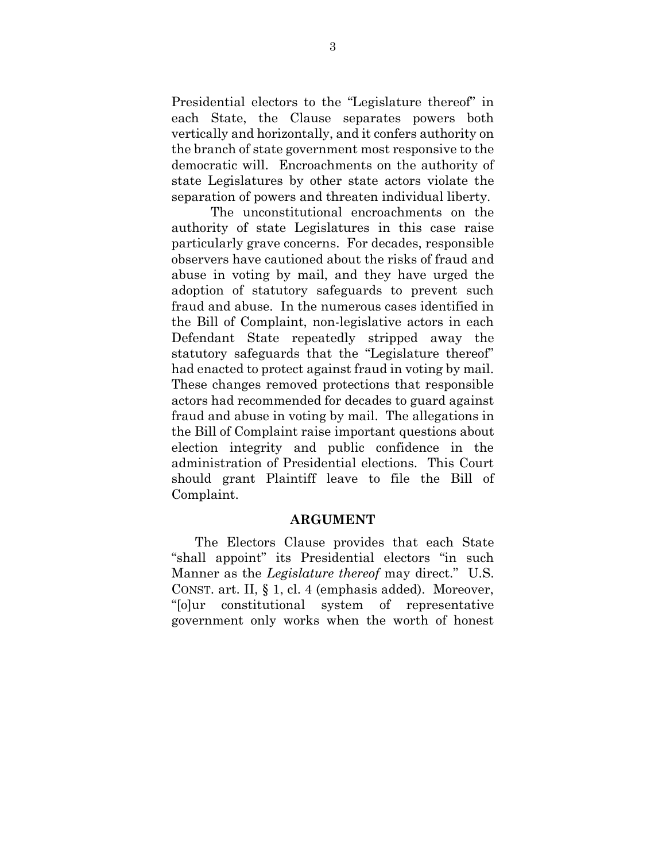Presidential electors to the "Legislature thereof" in each State, the Clause separates powers both vertically and horizontally, and it confers authority on the branch of state government most responsive to the democratic will. Encroachments on the authority of state Legislatures by other state actors violate the separation of powers and threaten individual liberty.

The unconstitutional encroachments on the authority of state Legislatures in this case raise particularly grave concerns. For decades, responsible observers have cautioned about the risks of fraud and abuse in voting by mail, and they have urged the adoption of statutory safeguards to prevent such fraud and abuse. In the numerous cases identified in the Bill of Complaint, non-legislative actors in each Defendant State repeatedly stripped away the statutory safeguards that the "Legislature thereof" had enacted to protect against fraud in voting by mail. These changes removed protections that responsible actors had recommended for decades to guard against fraud and abuse in voting by mail. The allegations in the Bill of Complaint raise important questions about election integrity and public confidence in the administration of Presidential elections. This Court should grant Plaintiff leave to file the Bill of Complaint.

#### **ARGUMENT**

The Electors Clause provides that each State "shall appoint" its Presidential electors "in such Manner as the *Legislature thereof* may direct." U.S. CONST. art. II, § 1, cl. 4 (emphasis added). Moreover, "[o]ur constitutional system of representative government only works when the worth of honest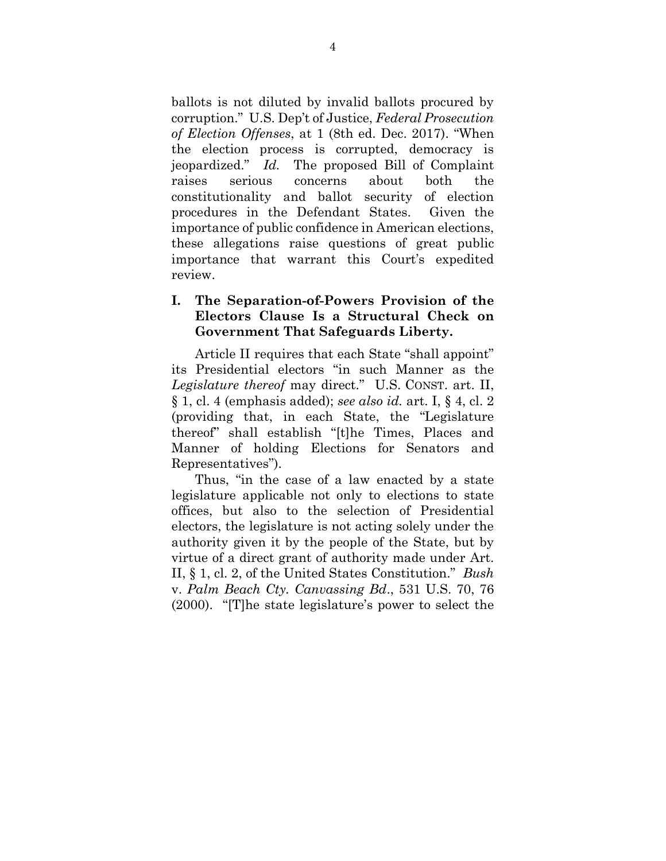ballots is not diluted by invalid ballots procured by corruption." U.S. Dep't of Justice, *Federal Prosecution of Election Offenses*, at 1 (8th ed. Dec. 2017). "When the election process is corrupted, democracy is jeopardized." *Id.* The proposed Bill of Complaint raises serious concerns about both the constitutionality and ballot security of election procedures in the Defendant States. Given the importance of public confidence in American elections, these allegations raise questions of great public importance that warrant this Court's expedited review.

#### **I. The Separation-of-Powers Provision of the Electors Clause Is a Structural Check on Government That Safeguards Liberty.**

Article II requires that each State "shall appoint" its Presidential electors "in such Manner as the *Legislature thereof* may direct." U.S. CONST. art. II, § 1, cl. 4 (emphasis added); *see also id.* art. I, § 4, cl. 2 (providing that, in each State, the "Legislature thereof" shall establish "[t]he Times, Places and Manner of holding Elections for Senators and Representatives").

Thus, "in the case of a law enacted by a state legislature applicable not only to elections to state offices, but also to the selection of Presidential electors, the legislature is not acting solely under the authority given it by the people of the State, but by virtue of a direct grant of authority made under Art. II, § 1, cl. 2, of the United States Constitution." *Bush*  v. *Palm Beach Cty. Canvassing Bd*., 531 U.S. 70, 76 (2000). "[T]he state legislature's power to select the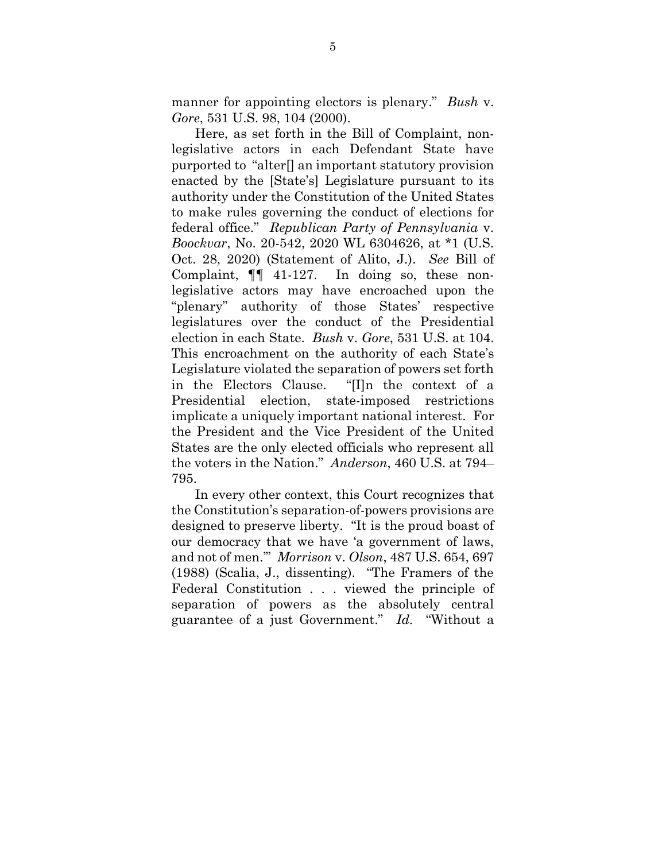manner for appointing electors is plenary." *Bush* v. *Gore*, 531 U.S. 98, 104 (2000).

Here, as set forth in the Bill of Complaint, nonlegislative actors in each Defendant State have purported to "alter[] an important statutory provision enacted by the [State's] Legislature pursuant to its authority under the Constitution of the United States to make rules governing the conduct of elections for federal office." *Republican Party of Pennsylvania* v. *Boockvar*, No. 20-542, 2020 WL 6304626, at \*1 (U.S. Oct. 28, 2020) (Statement of Alito, J.). *See* Bill of Complaint, ¶¶ 41-127. In doing so, these nonlegislative actors may have encroached upon the "plenary" authority of those States' respective legislatures over the conduct of the Presidential election in each State. *Bush* v. *Gore*, 531 U.S. at 104. This encroachment on the authority of each State's Legislature violated the separation of powers set forth in the Electors Clause. "[I]n the context of a Presidential election, state-imposed restrictions implicate a uniquely important national interest. For the President and the Vice President of the United States are the only elected officials who represent all the voters in the Nation." *Anderson*, 460 U.S. at 794– 795.

In every other context, this Court recognizes that the Constitution's separation-of-powers provisions are designed to preserve liberty. "It is the proud boast of our democracy that we have 'a government of laws, and not of men.'" *Morrison* v. *Olson*, 487 U.S. 654, 697 (1988) (Scalia, J., dissenting). "The Framers of the Federal Constitution . . . viewed the principle of separation of powers as the absolutely central guarantee of a just Government." *Id.* "Without a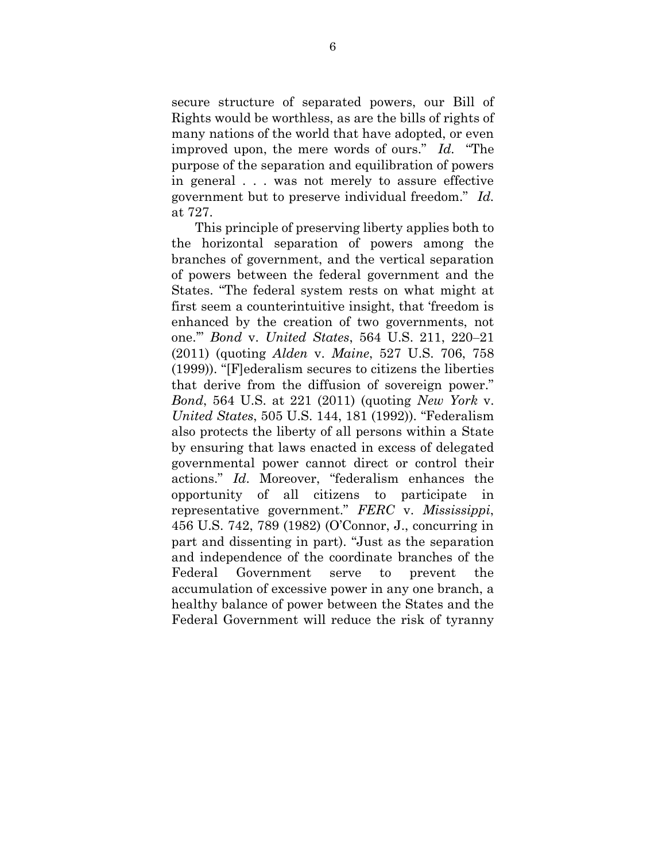secure structure of separated powers, our Bill of Rights would be worthless, as are the bills of rights of many nations of the world that have adopted, or even improved upon, the mere words of ours." *Id.* "The purpose of the separation and equilibration of powers in general . . . was not merely to assure effective government but to preserve individual freedom." *Id.* at 727.

This principle of preserving liberty applies both to the horizontal separation of powers among the branches of government, and the vertical separation of powers between the federal government and the States. "The federal system rests on what might at first seem a counterintuitive insight, that 'freedom is enhanced by the creation of two governments, not one.'" *Bond* v. *United States*, 564 U.S. 211, 220–21 (2011) (quoting *Alden* v. *Maine*, 527 U.S. 706, 758 (1999)). "[F]ederalism secures to citizens the liberties that derive from the diffusion of sovereign power." *Bond*, 564 U.S. at 221 (2011) (quoting *New York* v. *United States*, 505 U.S. 144, 181 (1992)). "Federalism also protects the liberty of all persons within a State by ensuring that laws enacted in excess of delegated governmental power cannot direct or control their actions." *Id*. Moreover, "federalism enhances the opportunity of all citizens to participate in representative government." *FERC* v. *Mississippi*, 456 U.S. 742, 789 (1982) (O'Connor, J., concurring in part and dissenting in part). "Just as the separation and independence of the coordinate branches of the Federal Government serve to prevent the accumulation of excessive power in any one branch, a healthy balance of power between the States and the Federal Government will reduce the risk of tyranny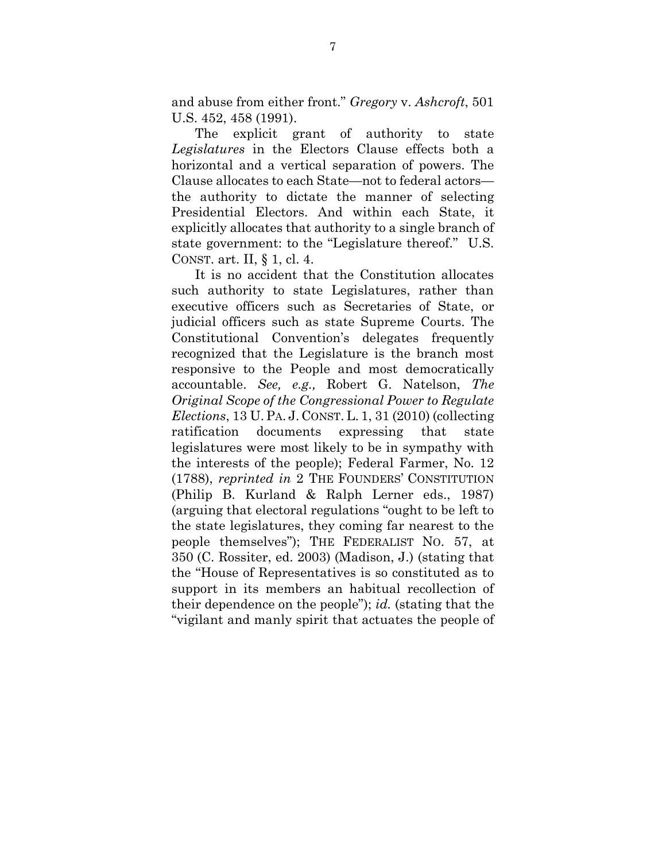and abuse from either front." *Gregory* v. *Ashcroft*, 501 U.S. 452, 458 (1991).

The explicit grant of authority to state *Legislatures* in the Electors Clause effects both a horizontal and a vertical separation of powers. The Clause allocates to each State—not to federal actors the authority to dictate the manner of selecting Presidential Electors. And within each State, it explicitly allocates that authority to a single branch of state government: to the "Legislature thereof." U.S. CONST. art. II, § 1, cl. 4.

It is no accident that the Constitution allocates such authority to state Legislatures, rather than executive officers such as Secretaries of State, or judicial officers such as state Supreme Courts. The Constitutional Convention's delegates frequently recognized that the Legislature is the branch most responsive to the People and most democratically accountable. *See, e.g.,* Robert G. Natelson, *The Original Scope of the Congressional Power to Regulate Elections*, 13 U.PA. J. CONST. L. 1, 31 (2010) (collecting ratification documents expressing that state legislatures were most likely to be in sympathy with the interests of the people); Federal Farmer, No. 12 (1788), *reprinted in* 2 THE FOUNDERS' CONSTITUTION (Philip B. Kurland & Ralph Lerner eds., 1987) (arguing that electoral regulations "ought to be left to the state legislatures, they coming far nearest to the people themselves"); THE FEDERALIST NO. 57, at 350 (C. Rossiter, ed. 2003) (Madison, J.) (stating that the "House of Representatives is so constituted as to support in its members an habitual recollection of their dependence on the people"); *id.* (stating that the "vigilant and manly spirit that actuates the people of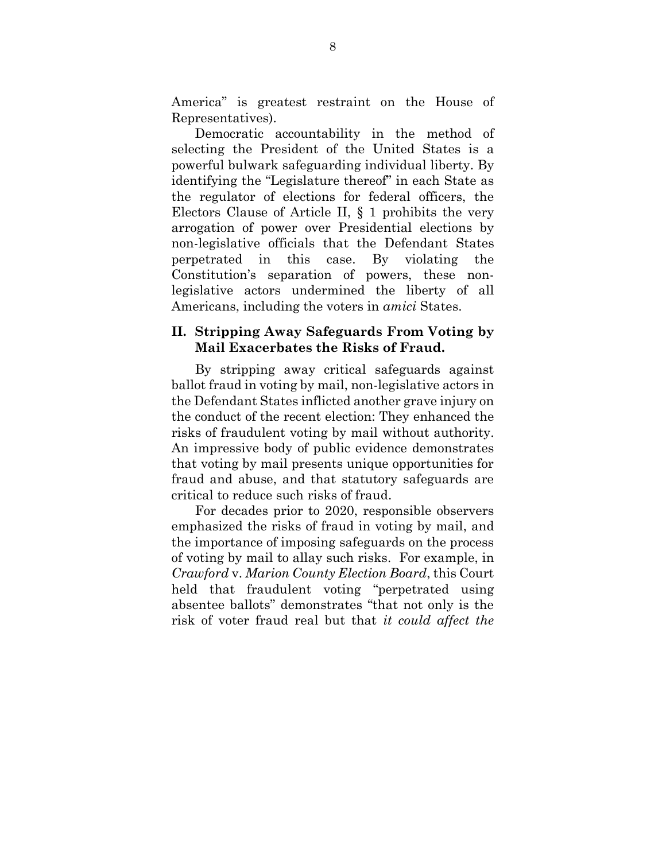America" is greatest restraint on the House of Representatives).

Democratic accountability in the method of selecting the President of the United States is a powerful bulwark safeguarding individual liberty. By identifying the "Legislature thereof" in each State as the regulator of elections for federal officers, the Electors Clause of Article II, § 1 prohibits the very arrogation of power over Presidential elections by non-legislative officials that the Defendant States perpetrated in this case. By violating the Constitution's separation of powers, these nonlegislative actors undermined the liberty of all Americans, including the voters in *amici* States.

#### **II. Stripping Away Safeguards From Voting by Mail Exacerbates the Risks of Fraud.**

By stripping away critical safeguards against ballot fraud in voting by mail, non-legislative actors in the Defendant States inflicted another grave injury on the conduct of the recent election: They enhanced the risks of fraudulent voting by mail without authority. An impressive body of public evidence demonstrates that voting by mail presents unique opportunities for fraud and abuse, and that statutory safeguards are critical to reduce such risks of fraud.

For decades prior to 2020, responsible observers emphasized the risks of fraud in voting by mail, and the importance of imposing safeguards on the process of voting by mail to allay such risks. For example, in *Crawford* v. *Marion County Election Board*, this Court held that fraudulent voting "perpetrated using absentee ballots" demonstrates "that not only is the risk of voter fraud real but that *it could affect the*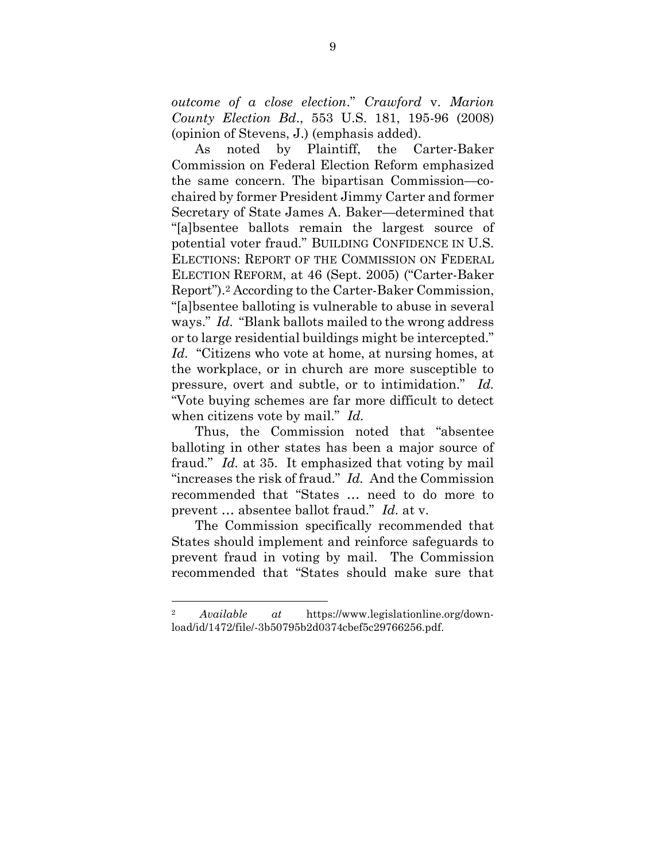*outcome of a close election*." *Crawford* v. *Marion County Election Bd*., 553 U.S. 181, 195-96 (2008) (opinion of Stevens, J.) (emphasis added).

As noted by Plaintiff, the Carter-Baker Commission on Federal Election Reform emphasized the same concern. The bipartisan Commission—cochaired by former President Jimmy Carter and former Secretary of State James A. Baker—determined that "[a]bsentee ballots remain the largest source of potential voter fraud." BUILDING CONFIDENCE IN U.S. ELECTIONS: REPORT OF THE COMMISSION ON FEDERAL ELECTION REFORM, at 46 (Sept. 2005) ("Carter-Baker Report"). <sup>2</sup> According to the Carter-Baker Commission, "[a]bsentee balloting is vulnerable to abuse in several ways." *Id.* "Blank ballots mailed to the wrong address or to large residential buildings might be intercepted." *Id.* "Citizens who vote at home, at nursing homes, at the workplace, or in church are more susceptible to pressure, overt and subtle, or to intimidation." *Id.* "Vote buying schemes are far more difficult to detect when citizens vote by mail." *Id.*

Thus, the Commission noted that "absentee balloting in other states has been a major source of fraud." *Id.* at 35. It emphasized that voting by mail "increases the risk of fraud." *Id.* And the Commission recommended that "States … need to do more to prevent … absentee ballot fraud." *Id.* at v.

The Commission specifically recommended that States should implement and reinforce safeguards to prevent fraud in voting by mail. The Commission recommended that "States should make sure that

l

<sup>2</sup> *Available at* https://www.legislationline.org/download/id/1472/file/-3b50795b2d0374cbef5c29766256.pdf.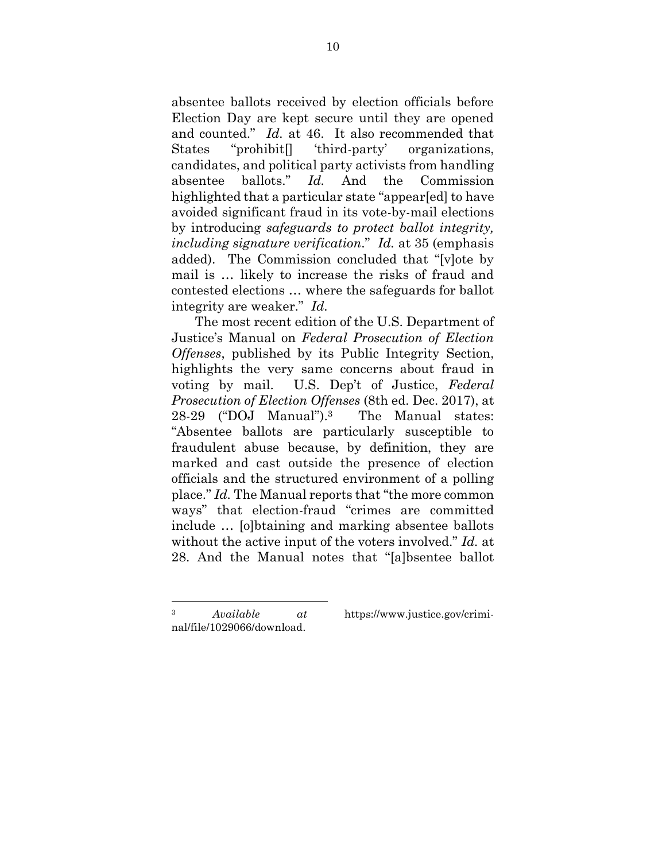absentee ballots received by election officials before Election Day are kept secure until they are opened and counted." *Id.* at 46. It also recommended that States "prohibit[] 'third-party' organizations, candidates, and political party activists from handling absentee ballots." *Id.* And the Commission highlighted that a particular state "appear[ed] to have avoided significant fraud in its vote-by-mail elections by introducing *safeguards to protect ballot integrity, including signature verification*." *Id.* at 35 (emphasis added). The Commission concluded that "[v]ote by mail is … likely to increase the risks of fraud and contested elections … where the safeguards for ballot integrity are weaker." *Id.*

The most recent edition of the U.S. Department of Justice's Manual on *Federal Prosecution of Election Offenses*, published by its Public Integrity Section, highlights the very same concerns about fraud in voting by mail. U.S. Dep't of Justice, *Federal Prosecution of Election Offenses* (8th ed. Dec. 2017), at 28-29 ("DOJ Manual"). The Manual states: "Absentee ballots are particularly susceptible to fraudulent abuse because, by definition, they are marked and cast outside the presence of election officials and the structured environment of a polling place." *Id.* The Manual reports that "the more common ways" that election-fraud "crimes are committed include … [o]btaining and marking absentee ballots without the active input of the voters involved." *Id.* at 28. And the Manual notes that "[a]bsentee ballot

l

<sup>3</sup> *Available at* https://www.justice.gov/crimi-

nal/file/1029066/download.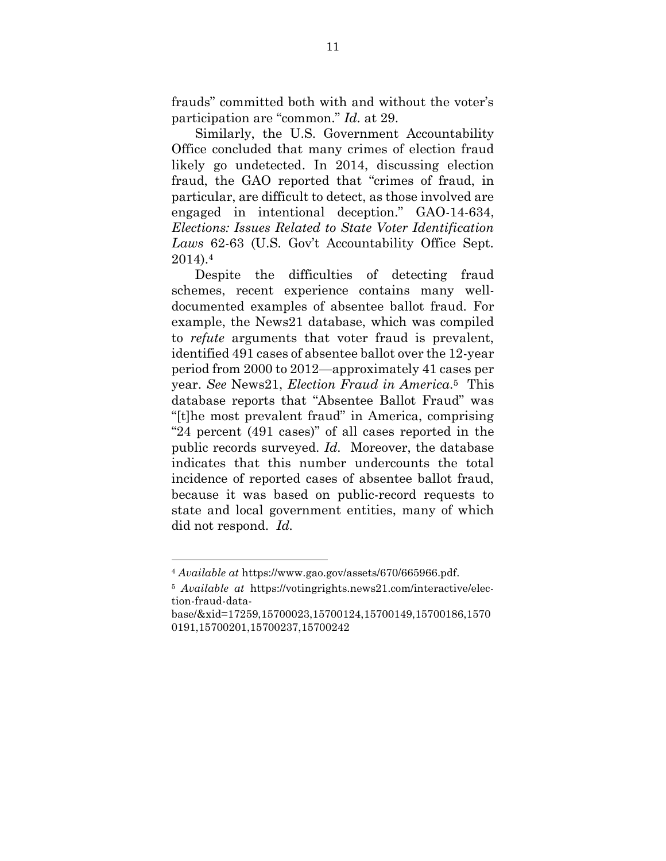frauds" committed both with and without the voter's participation are "common." *Id.* at 29.

Similarly, the U.S. Government Accountability Office concluded that many crimes of election fraud likely go undetected. In 2014, discussing election fraud, the GAO reported that "crimes of fraud, in particular, are difficult to detect, as those involved are engaged in intentional deception." GAO-14-634, *Elections: Issues Related to State Voter Identification Laws* 62-63 (U.S. Gov't Accountability Office Sept. 2014).<sup>4</sup>

Despite the difficulties of detecting fraud schemes, recent experience contains many welldocumented examples of absentee ballot fraud. For example, the News21 database, which was compiled to *refute* arguments that voter fraud is prevalent, identified 491 cases of absentee ballot over the 12-year period from 2000 to 2012—approximately 41 cases per year. *See* News21, *Election Fraud in America*. <sup>5</sup> This database reports that "Absentee Ballot Fraud" was "[t]he most prevalent fraud" in America, comprising "24 percent (491 cases)" of all cases reported in the public records surveyed. *Id.* Moreover, the database indicates that this number undercounts the total incidence of reported cases of absentee ballot fraud, because it was based on public-record requests to state and local government entities, many of which did not respond. *Id.*

<sup>4</sup> *Available at* https://www.gao.gov/assets/670/665966.pdf.

<sup>5</sup> *Available at* https://votingrights.news21.com/interactive/election-fraud-data-

base/&xid=17259,15700023,15700124,15700149,15700186,1570 0191,15700201,15700237,15700242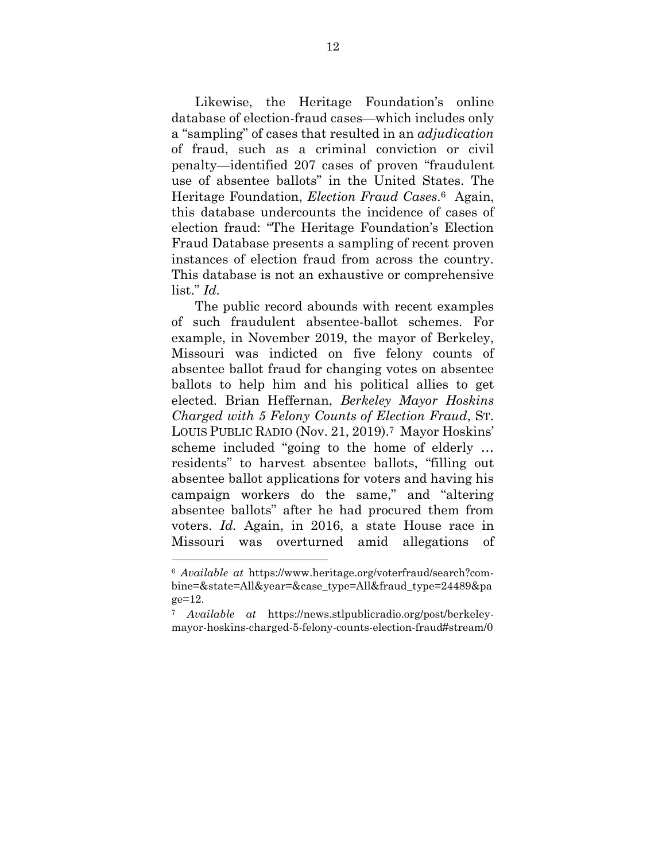Likewise, the Heritage Foundation's online database of election-fraud cases—which includes only a "sampling" of cases that resulted in an *adjudication* of fraud, such as a criminal conviction or civil penalty—identified 207 cases of proven "fraudulent use of absentee ballots" in the United States. The Heritage Foundation, *Election Fraud Cases*. <sup>6</sup> Again, this database undercounts the incidence of cases of election fraud: "The Heritage Foundation's Election Fraud Database presents a sampling of recent proven instances of election fraud from across the country. This database is not an exhaustive or comprehensive list." *Id.*

The public record abounds with recent examples of such fraudulent absentee-ballot schemes. For example, in November 2019, the mayor of Berkeley, Missouri was indicted on five felony counts of absentee ballot fraud for changing votes on absentee ballots to help him and his political allies to get elected. Brian Heffernan, *Berkeley Mayor Hoskins Charged with 5 Felony Counts of Election Fraud*, ST. LOUIS PUBLIC RADIO (Nov. 21, 2019). <sup>7</sup> Mayor Hoskins' scheme included "going to the home of elderly … residents" to harvest absentee ballots, "filling out absentee ballot applications for voters and having his campaign workers do the same," and "altering absentee ballots" after he had procured them from voters. *Id.* Again, in 2016, a state House race in Missouri was overturned amid allegations of

<sup>6</sup> *Available at* https://www.heritage.org/voterfraud/search?combine=&state=All&year=&case\_type=All&fraud\_type=24489&pa ge=12.

<sup>7</sup> *Available at* https://news.stlpublicradio.org/post/berkeleymayor-hoskins-charged-5-felony-counts-election-fraud#stream/0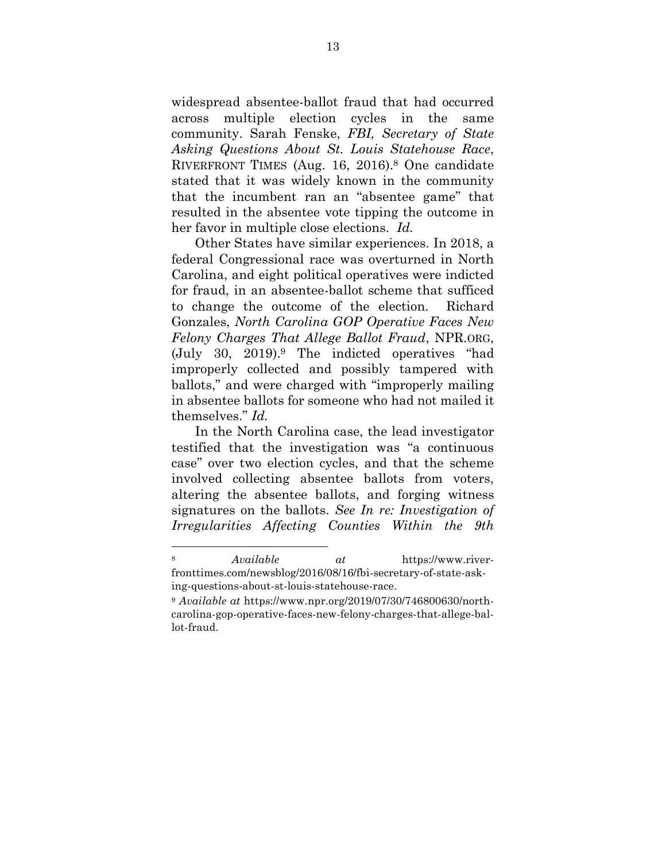widespread absentee-ballot fraud that had occurred across multiple election cycles in the same community. Sarah Fenske, *FBI, Secretary of State Asking Questions About St. Louis Statehouse Race*, RIVERFRONT TIMES (Aug. 16, 2016). <sup>8</sup> One candidate stated that it was widely known in the community that the incumbent ran an "absentee game" that resulted in the absentee vote tipping the outcome in her favor in multiple close elections. *Id.*

Other States have similar experiences. In 2018, a federal Congressional race was overturned in North Carolina, and eight political operatives were indicted for fraud, in an absentee-ballot scheme that sufficed to change the outcome of the election. Richard Gonzales, *North Carolina GOP Operative Faces New Felony Charges That Allege Ballot Fraud*, NPR.ORG, (July 30, 2019).<sup>9</sup> The indicted operatives "had improperly collected and possibly tampered with ballots," and were charged with "improperly mailing in absentee ballots for someone who had not mailed it themselves." *Id.*

In the North Carolina case, the lead investigator testified that the investigation was "a continuous case" over two election cycles, and that the scheme involved collecting absentee ballots from voters, altering the absentee ballots, and forging witness signatures on the ballots. *See In re: Investigation of Irregularities Affecting Counties Within the 9th* 

l

<sup>8</sup> *Available at* https://www.riverfronttimes.com/newsblog/2016/08/16/fbi-secretary-of-state-asking-questions-about-st-louis-statehouse-race.

<sup>9</sup> *Available at* https://www.npr.org/2019/07/30/746800630/northcarolina-gop-operative-faces-new-felony-charges-that-allege-ballot-fraud.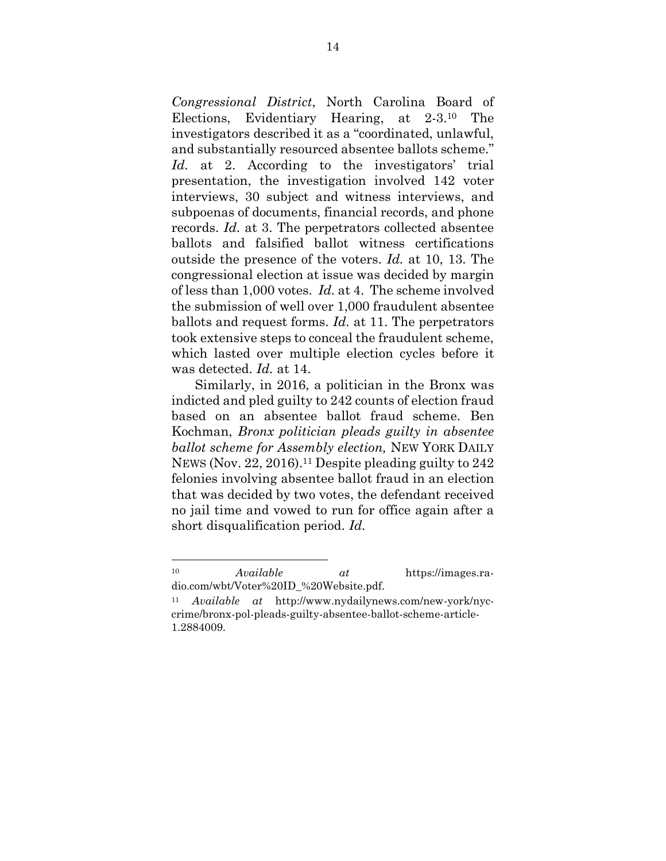*Congressional District*, North Carolina Board of Elections, Evidentiary Hearing, at 2-3.<sup>10</sup> The investigators described it as a "coordinated, unlawful, and substantially resourced absentee ballots scheme." *Id.* at 2. According to the investigators' trial presentation, the investigation involved 142 voter interviews, 30 subject and witness interviews, and subpoenas of documents, financial records, and phone records. *Id.* at 3. The perpetrators collected absentee ballots and falsified ballot witness certifications outside the presence of the voters. *Id.* at 10, 13. The congressional election at issue was decided by margin of less than 1,000 votes. *Id.* at 4. The scheme involved the submission of well over 1,000 fraudulent absentee ballots and request forms. *Id.* at 11. The perpetrators took extensive steps to conceal the fraudulent scheme, which lasted over multiple election cycles before it was detected. *Id.* at 14.

Similarly, in 2016, a politician in the Bronx was indicted and pled guilty to 242 counts of election fraud based on an absentee ballot fraud scheme. Ben Kochman, *Bronx politician pleads guilty in absentee ballot scheme for Assembly election,* NEW YORK DAILY NEWS (Nov. 22, 2016). <sup>11</sup> Despite pleading guilty to 242 felonies involving absentee ballot fraud in an election that was decided by two votes, the defendant received no jail time and vowed to run for office again after a short disqualification period. *Id.*

<sup>10</sup> *Available at* https://images.radio.com/wbt/Voter%20ID\_%20Website.pdf.

<sup>11</sup> *Available at* http://www.nydailynews.com/new-york/nyccrime/bronx-pol-pleads-guilty-absentee-ballot-scheme-article-1.2884009.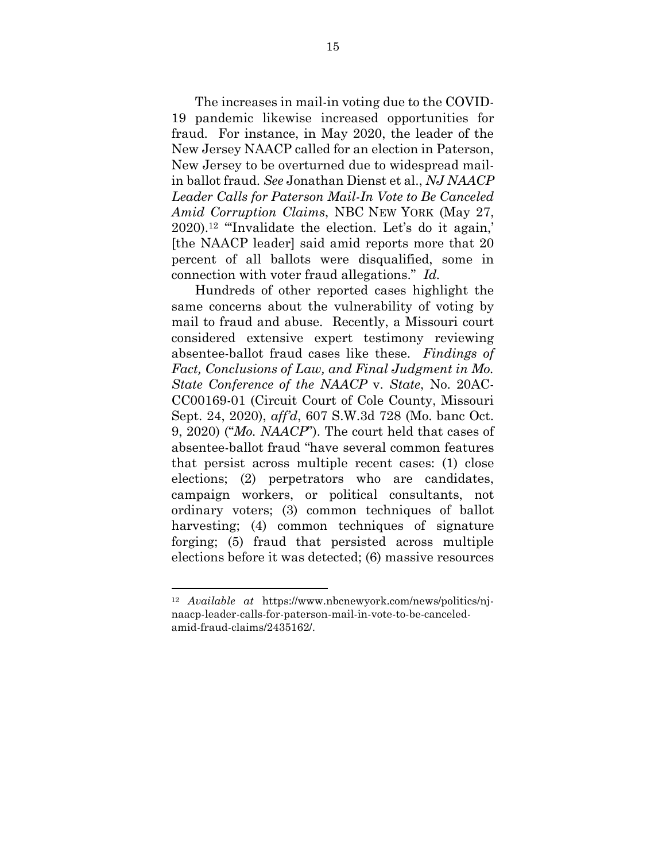The increases in mail-in voting due to the COVID-19 pandemic likewise increased opportunities for fraud. For instance, in May 2020, the leader of the New Jersey NAACP called for an election in Paterson, New Jersey to be overturned due to widespread mailin ballot fraud. *See* Jonathan Dienst et al., *NJ NAACP Leader Calls for Paterson Mail-In Vote to Be Canceled Amid Corruption Claims*, NBC NEW YORK (May 27, 2020). <sup>12</sup> "'Invalidate the election. Let's do it again,' [the NAACP leader] said amid reports more that 20 percent of all ballots were disqualified, some in connection with voter fraud allegations." *Id.*

Hundreds of other reported cases highlight the same concerns about the vulnerability of voting by mail to fraud and abuse. Recently, a Missouri court considered extensive expert testimony reviewing absentee-ballot fraud cases like these. *Findings of Fact, Conclusions of Law, and Final Judgment in Mo. State Conference of the NAACP* v. *State*, No. 20AC-CC00169-01 (Circuit Court of Cole County, Missouri Sept. 24, 2020), *aff'd*, 607 S.W.3d 728 (Mo. banc Oct. 9, 2020) ("*Mo. NAACP*"). The court held that cases of absentee-ballot fraud "have several common features that persist across multiple recent cases: (1) close elections; (2) perpetrators who are candidates, campaign workers, or political consultants, not ordinary voters; (3) common techniques of ballot harvesting; (4) common techniques of signature forging; (5) fraud that persisted across multiple elections before it was detected; (6) massive resources

l

<sup>12</sup> *Available at* https://www.nbcnewyork.com/news/politics/njnaacp-leader-calls-for-paterson-mail-in-vote-to-be-canceledamid-fraud-claims/2435162/.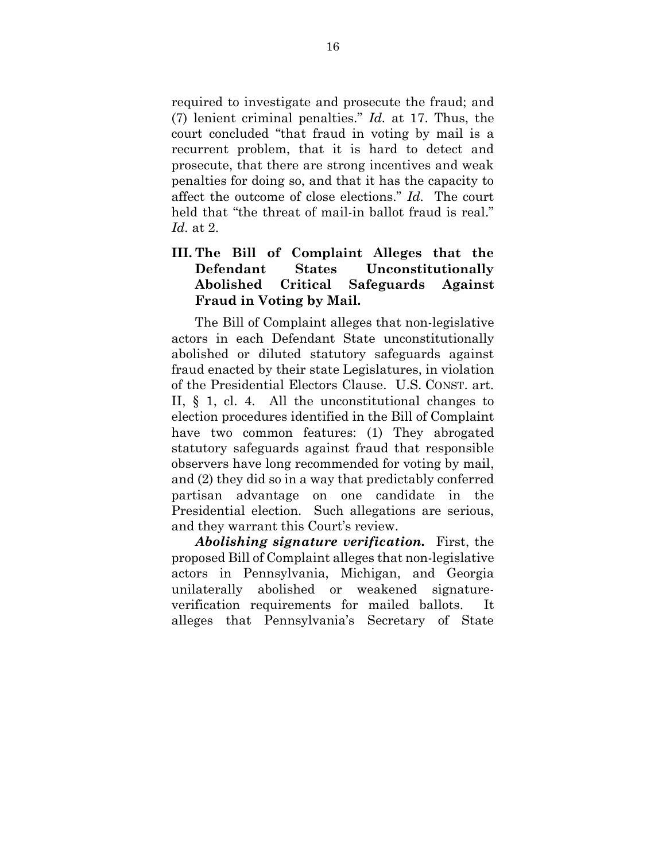required to investigate and prosecute the fraud; and (7) lenient criminal penalties." *Id.* at 17. Thus, the court concluded "that fraud in voting by mail is a recurrent problem, that it is hard to detect and prosecute, that there are strong incentives and weak penalties for doing so, and that it has the capacity to affect the outcome of close elections." *Id.* The court held that "the threat of mail-in ballot fraud is real." *Id.* at 2.

## **III. The Bill of Complaint Alleges that the Defendant States Unconstitutionally Abolished Critical Safeguards Against Fraud in Voting by Mail.**

The Bill of Complaint alleges that non-legislative actors in each Defendant State unconstitutionally abolished or diluted statutory safeguards against fraud enacted by their state Legislatures, in violation of the Presidential Electors Clause. U.S. CONST. art. II, § 1, cl. 4. All the unconstitutional changes to election procedures identified in the Bill of Complaint have two common features: (1) They abrogated statutory safeguards against fraud that responsible observers have long recommended for voting by mail, and (2) they did so in a way that predictably conferred partisan advantage on one candidate in the Presidential election. Such allegations are serious, and they warrant this Court's review.

*Abolishing signature verification.*First, the proposed Bill of Complaint alleges that non-legislative actors in Pennsylvania, Michigan, and Georgia unilaterally abolished or weakened signatureverification requirements for mailed ballots. It alleges that Pennsylvania's Secretary of State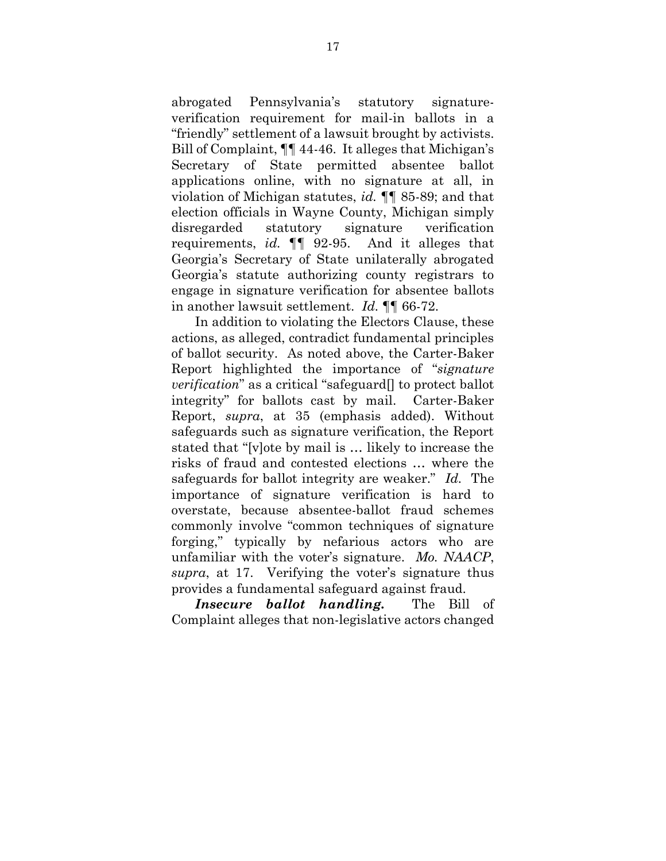abrogated Pennsylvania's statutory signatureverification requirement for mail-in ballots in a "friendly" settlement of a lawsuit brought by activists. Bill of Complaint, ¶¶ 44-46. It alleges that Michigan's Secretary of State permitted absentee ballot applications online, with no signature at all, in violation of Michigan statutes, *id.* ¶¶ 85-89; and that election officials in Wayne County, Michigan simply disregarded statutory signature verification requirements, *id.* ¶¶ 92-95. And it alleges that Georgia's Secretary of State unilaterally abrogated Georgia's statute authorizing county registrars to engage in signature verification for absentee ballots in another lawsuit settlement. *Id.* ¶¶ 66-72.

In addition to violating the Electors Clause, these actions, as alleged, contradict fundamental principles of ballot security. As noted above, the Carter-Baker Report highlighted the importance of "*signature verification*" as a critical "safeguard[] to protect ballot integrity" for ballots cast by mail. Carter-Baker Report, *supra*, at 35 (emphasis added). Without safeguards such as signature verification, the Report stated that "[v]ote by mail is … likely to increase the risks of fraud and contested elections … where the safeguards for ballot integrity are weaker." *Id.* The importance of signature verification is hard to overstate, because absentee-ballot fraud schemes commonly involve "common techniques of signature forging," typically by nefarious actors who are unfamiliar with the voter's signature. *Mo. NAACP*, *supra*, at 17. Verifying the voter's signature thus provides a fundamental safeguard against fraud.

*Insecure ballot handling.*The Bill of Complaint alleges that non-legislative actors changed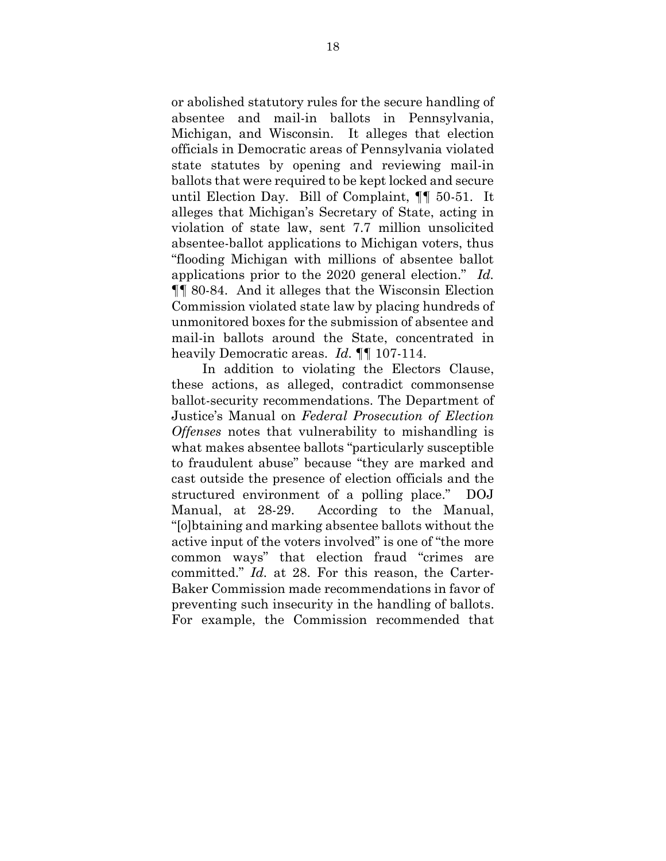or abolished statutory rules for the secure handling of absentee and mail-in ballots in Pennsylvania, Michigan, and Wisconsin. It alleges that election officials in Democratic areas of Pennsylvania violated state statutes by opening and reviewing mail-in ballots that were required to be kept locked and secure until Election Day. Bill of Complaint, ¶¶ 50-51. It alleges that Michigan's Secretary of State, acting in violation of state law, sent 7.7 million unsolicited absentee-ballot applications to Michigan voters, thus "flooding Michigan with millions of absentee ballot applications prior to the 2020 general election." *Id.* ¶¶ 80-84. And it alleges that the Wisconsin Election Commission violated state law by placing hundreds of unmonitored boxes for the submission of absentee and mail-in ballots around the State, concentrated in heavily Democratic areas. *Id.* ¶¶ 107-114.

 In addition to violating the Electors Clause, these actions, as alleged, contradict commonsense ballot-security recommendations. The Department of Justice's Manual on *Federal Prosecution of Election Offenses* notes that vulnerability to mishandling is what makes absentee ballots "particularly susceptible to fraudulent abuse" because "they are marked and cast outside the presence of election officials and the structured environment of a polling place." DOJ Manual, at 28-29. According to the Manual, "[o]btaining and marking absentee ballots without the active input of the voters involved" is one of "the more common ways" that election fraud "crimes are committed." *Id.* at 28. For this reason, the Carter-Baker Commission made recommendations in favor of preventing such insecurity in the handling of ballots. For example, the Commission recommended that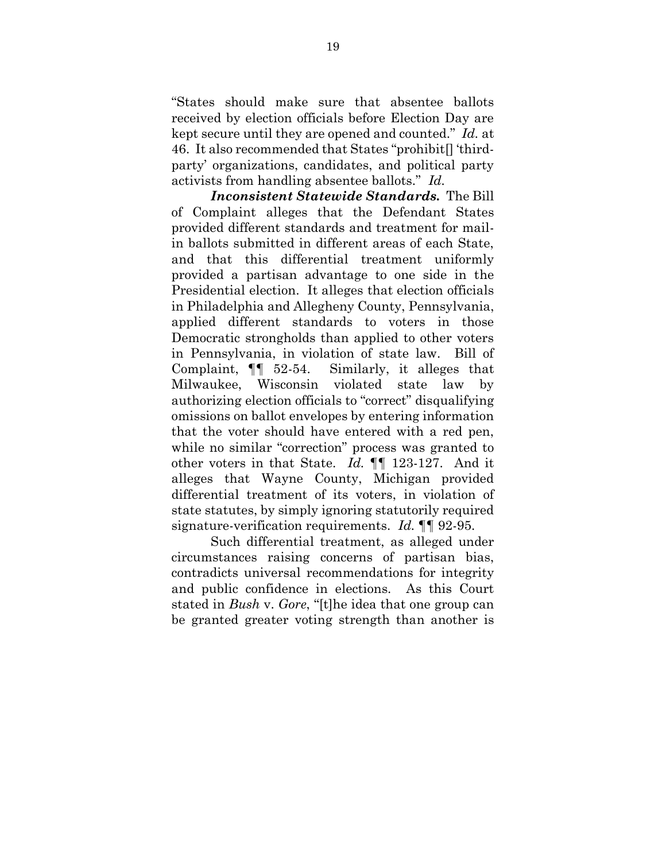"States should make sure that absentee ballots received by election officials before Election Day are kept secure until they are opened and counted." *Id.* at 46. It also recommended that States "prohibit[] 'thirdparty' organizations, candidates, and political party activists from handling absentee ballots." *Id.*

*Inconsistent Statewide Standards.* The Bill of Complaint alleges that the Defendant States provided different standards and treatment for mailin ballots submitted in different areas of each State, and that this differential treatment uniformly provided a partisan advantage to one side in the Presidential election. It alleges that election officials in Philadelphia and Allegheny County, Pennsylvania, applied different standards to voters in those Democratic strongholds than applied to other voters in Pennsylvania, in violation of state law. Bill of Complaint, ¶¶ 52-54. Similarly, it alleges that Milwaukee, Wisconsin violated state law by authorizing election officials to "correct" disqualifying omissions on ballot envelopes by entering information that the voter should have entered with a red pen, while no similar "correction" process was granted to other voters in that State. *Id.* ¶¶ 123-127. And it alleges that Wayne County, Michigan provided differential treatment of its voters, in violation of state statutes, by simply ignoring statutorily required signature-verification requirements. *Id.* ¶¶ 92-95.

Such differential treatment, as alleged under circumstances raising concerns of partisan bias, contradicts universal recommendations for integrity and public confidence in elections. As this Court stated in *Bush* v. *Gore*, "[t]he idea that one group can be granted greater voting strength than another is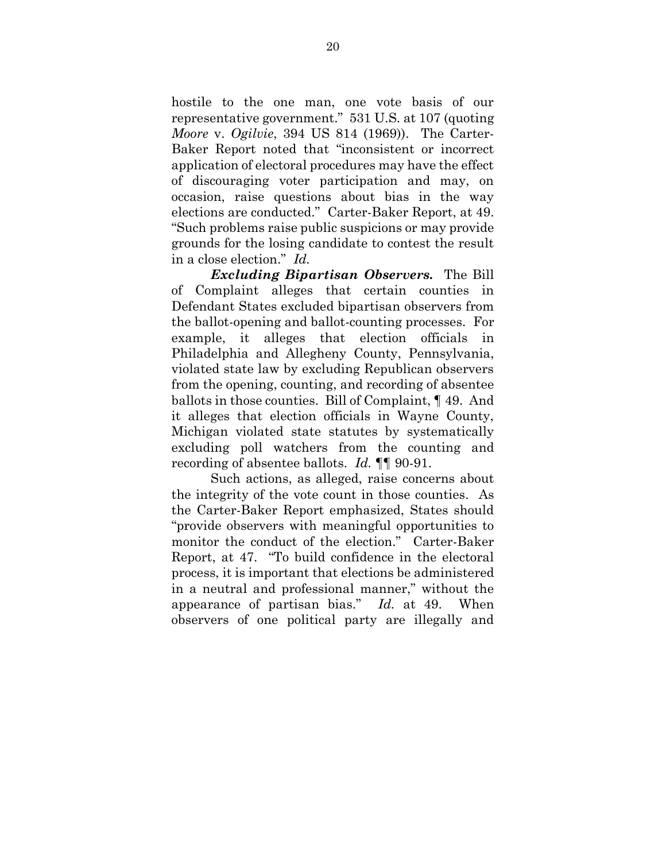hostile to the one man, one vote basis of our representative government." 531 U.S. at 107 (quoting *Moore* v. *Ogilvie*, 394 US 814 (1969)). The Carter-Baker Report noted that "inconsistent or incorrect application of electoral procedures may have the effect of discouraging voter participation and may, on occasion, raise questions about bias in the way elections are conducted." Carter-Baker Report, at 49. "Such problems raise public suspicions or may provide grounds for the losing candidate to contest the result in a close election." *Id.*

*Excluding Bipartisan Observers.* The Bill of Complaint alleges that certain counties in Defendant States excluded bipartisan observers from the ballot-opening and ballot-counting processes. For example, it alleges that election officials in Philadelphia and Allegheny County, Pennsylvania, violated state law by excluding Republican observers from the opening, counting, and recording of absentee ballots in those counties. Bill of Complaint, ¶ 49. And it alleges that election officials in Wayne County, Michigan violated state statutes by systematically excluding poll watchers from the counting and recording of absentee ballots. *Id.* ¶¶ 90-91.

Such actions, as alleged, raise concerns about the integrity of the vote count in those counties. As the Carter-Baker Report emphasized, States should "provide observers with meaningful opportunities to monitor the conduct of the election." Carter-Baker Report, at 47. "To build confidence in the electoral process, it is important that elections be administered in a neutral and professional manner," without the appearance of partisan bias." *Id.* at 49. When observers of one political party are illegally and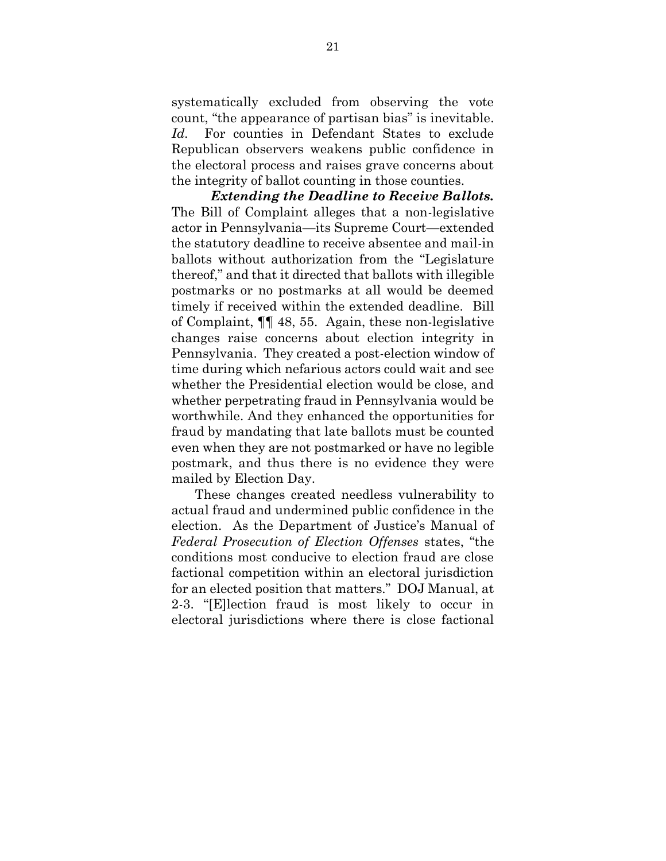systematically excluded from observing the vote count, "the appearance of partisan bias" is inevitable. *Id.* For counties in Defendant States to exclude Republican observers weakens public confidence in the electoral process and raises grave concerns about the integrity of ballot counting in those counties.

*Extending the Deadline to Receive Ballots.* The Bill of Complaint alleges that a non-legislative actor in Pennsylvania—its Supreme Court—extended the statutory deadline to receive absentee and mail-in ballots without authorization from the "Legislature thereof," and that it directed that ballots with illegible postmarks or no postmarks at all would be deemed timely if received within the extended deadline. Bill of Complaint, ¶¶ 48, 55. Again, these non-legislative changes raise concerns about election integrity in Pennsylvania. They created a post-election window of time during which nefarious actors could wait and see whether the Presidential election would be close, and whether perpetrating fraud in Pennsylvania would be worthwhile. And they enhanced the opportunities for fraud by mandating that late ballots must be counted even when they are not postmarked or have no legible postmark, and thus there is no evidence they were mailed by Election Day.

These changes created needless vulnerability to actual fraud and undermined public confidence in the election. As the Department of Justice's Manual of *Federal Prosecution of Election Offenses* states, "the conditions most conducive to election fraud are close factional competition within an electoral jurisdiction for an elected position that matters." DOJ Manual, at 2-3. "[E]lection fraud is most likely to occur in electoral jurisdictions where there is close factional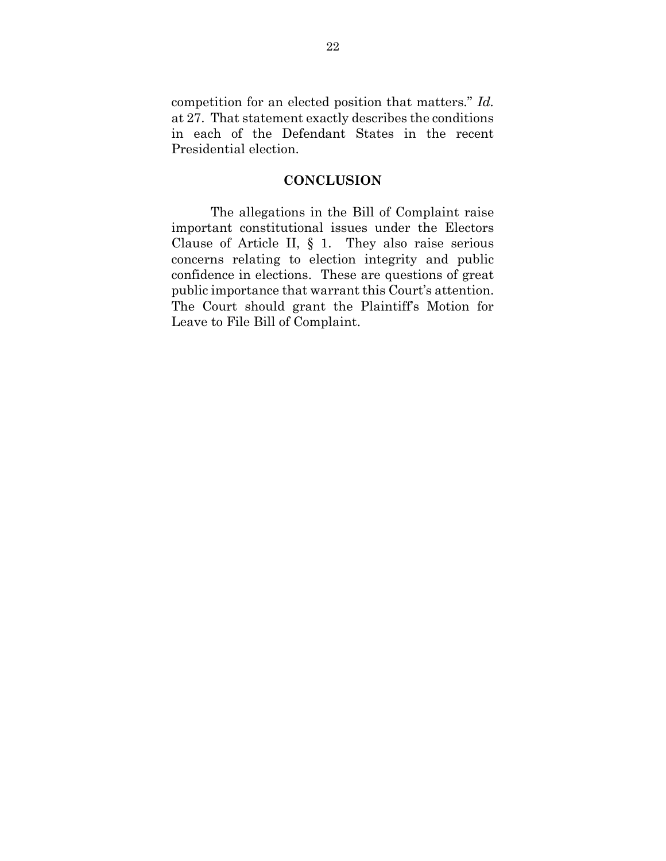competition for an elected position that matters." *Id.* at 27. That statement exactly describes the conditions in each of the Defendant States in the recent Presidential election.

#### **CONCLUSION**

The allegations in the Bill of Complaint raise important constitutional issues under the Electors Clause of Article II, § 1. They also raise serious concerns relating to election integrity and public confidence in elections. These are questions of great public importance that warrant this Court's attention. The Court should grant the Plaintiff's Motion for Leave to File Bill of Complaint.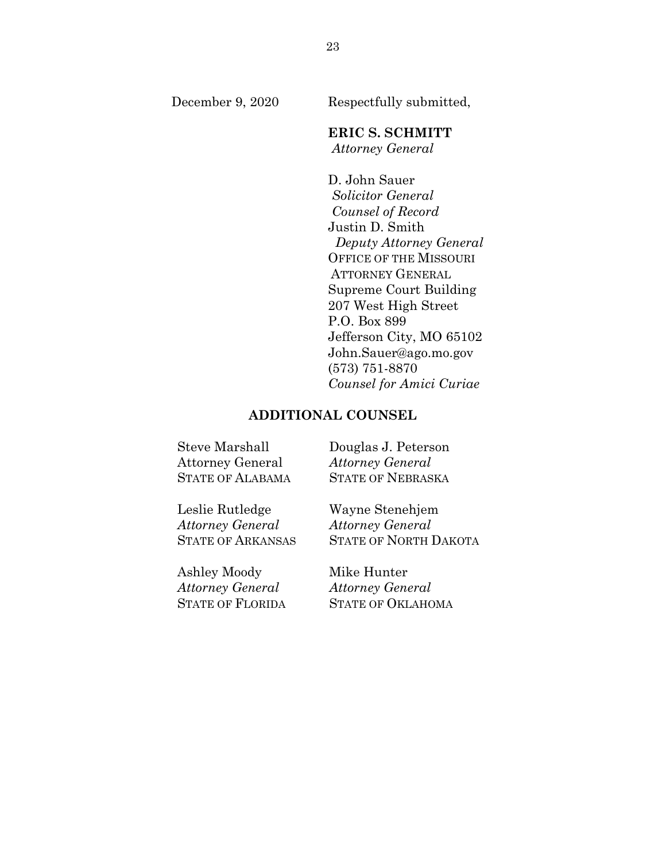December 9, 2020 Respectfully submitted,

# **ERIC S. SCHMITT**

*Attorney General*

D. John Sauer *Solicitor General Counsel of Record* Justin D. Smith *Deputy Attorney General* OFFICE OF THE MISSOURI ATTORNEY GENERAL Supreme Court Building 207 West High Street P.O. Box 899 Jefferson City, MO 65102 John.Sauer@ago.mo.gov (573) 751-8870 *Counsel for Amici Curiae*

#### **ADDITIONAL COUNSEL**

Steve Marshall Douglas J. Peterson Attorney General *Attorney General* STATE OF ALABAMA STATE OF NEBRASKA

Leslie Rutledge Wayne Stenehjem *Attorney General Attorney General*

Ashley Moody Mike Hunter *Attorney General Attorney General*

STATE OF ARKANSAS STATE OF NORTH DAKOTA

STATE OF FLORIDA STATE OF OKLAHOMA